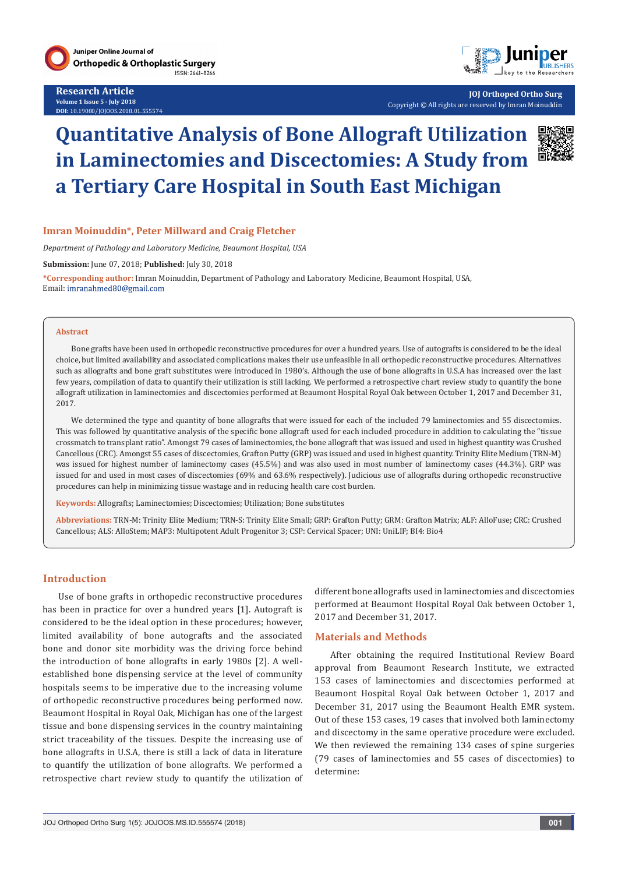

**Research Article Volume 1 Issue 5 - July 2018 DOI:** [10.19080/JOJOOS.2018.01.555574](http://dx.doi.org/10.19080/JOJOOS.2018.01.555574
)



**JOJ Orthoped Ortho Surg** Copyright © All rights are reserved by Imran Moinuddin

# **Quantitative Analysis of Bone Allograft Utilization in Laminectomies and Discectomies: A Study from a Tertiary Care Hospital in South East Michigan**



# **Imran Moinuddin\*, Peter Millward and Craig Fletcher**

*Department of Pathology and Laboratory Medicine, Beaumont Hospital, USA*

**Submission:** June 07, 2018; **Published:** July 30, 2018

**\*Corresponding author:** Imran Moinuddin, Department of Pathology and Laboratory Medicine, Beaumont Hospital, USA, Email: imranahmed80@gmail.com

#### **Abstract**

Bone grafts have been used in orthopedic reconstructive procedures for over a hundred years. Use of autografts is considered to be the ideal choice, but limited availability and associated complications makes their use unfeasible in all orthopedic reconstructive procedures. Alternatives such as allografts and bone graft substitutes were introduced in 1980's. Although the use of bone allografts in U.S.A has increased over the last few years, compilation of data to quantify their utilization is still lacking. We performed a retrospective chart review study to quantify the bone allograft utilization in laminectomies and discectomies performed at Beaumont Hospital Royal Oak between October 1, 2017 and December 31, 2017.

We determined the type and quantity of bone allografts that were issued for each of the included 79 laminectomies and 55 discectomies. This was followed by quantitative analysis of the specific bone allograft used for each included procedure in addition to calculating the "tissue crossmatch to transplant ratio". Amongst 79 cases of laminectomies, the bone allograft that was issued and used in highest quantity was Crushed Cancellous (CRC). Amongst 55 cases of discectomies, Grafton Putty (GRP) was issued and used in highest quantity. Trinity Elite Medium (TRN-M) was issued for highest number of laminectomy cases (45.5%) and was also used in most number of laminectomy cases (44.3%). GRP was issued for and used in most cases of discectomies (69% and 63.6% respectively). Judicious use of allografts during orthopedic reconstructive procedures can help in minimizing tissue wastage and in reducing health care cost burden.

**Keywords:** Allografts; Laminectomies; Discectomies; Utilization; Bone substitutes

**Abbreviations:** TRN-M: Trinity Elite Medium; TRN-S: Trinity Elite Small; GRP: Grafton Putty; GRM: Grafton Matrix; ALF: AlloFuse; CRC: Crushed Cancellous; ALS: AlloStem; MAP3: Multipotent Adult Progenitor 3; CSP: Cervical Spacer; UNI: UniLIF; BI4: Bio4

### **Introduction**

Use of bone grafts in orthopedic reconstructive procedures has been in practice for over a hundred years [1]. Autograft is considered to be the ideal option in these procedures; however, limited availability of bone autografts and the associated bone and donor site morbidity was the driving force behind the introduction of bone allografts in early 1980s [2]. A wellestablished bone dispensing service at the level of community hospitals seems to be imperative due to the increasing volume of orthopedic reconstructive procedures being performed now. Beaumont Hospital in Royal Oak, Michigan has one of the largest tissue and bone dispensing services in the country maintaining strict traceability of the tissues. Despite the increasing use of bone allografts in U.S.A, there is still a lack of data in literature to quantify the utilization of bone allografts. We performed a retrospective chart review study to quantify the utilization of different bone allografts used in laminectomies and discectomies performed at Beaumont Hospital Royal Oak between October 1, 2017 and December 31, 2017.

### **Materials and Methods**

After obtaining the required Institutional Review Board approval from Beaumont Research Institute, we extracted 153 cases of laminectomies and discectomies performed at Beaumont Hospital Royal Oak between October 1, 2017 and December 31, 2017 using the Beaumont Health EMR system. Out of these 153 cases, 19 cases that involved both laminectomy and discectomy in the same operative procedure were excluded. We then reviewed the remaining 134 cases of spine surgeries (79 cases of laminectomies and 55 cases of discectomies) to determine: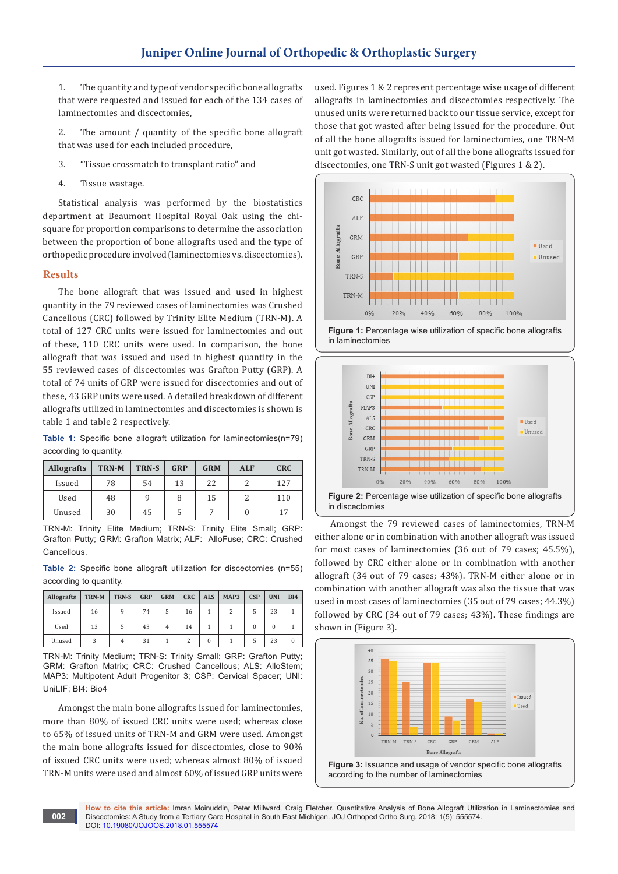1. The quantity and type of vendor specific bone allografts that were requested and issued for each of the 134 cases of laminectomies and discectomies,

2. The amount / quantity of the specific bone allograft that was used for each included procedure,

- 3. "Tissue crossmatch to transplant ratio" and
- 4. Tissue wastage.

Statistical analysis was performed by the biostatistics department at Beaumont Hospital Royal Oak using the chisquare for proportion comparisons to determine the association between the proportion of bone allografts used and the type of orthopedic procedure involved (laminectomies vs. discectomies).

### **Results**

The bone allograft that was issued and used in highest quantity in the 79 reviewed cases of laminectomies was Crushed Cancellous (CRC) followed by Trinity Elite Medium (TRN-M). A total of 127 CRC units were issued for laminectomies and out of these, 110 CRC units were used. In comparison, the bone allograft that was issued and used in highest quantity in the 55 reviewed cases of discectomies was Grafton Putty (GRP). A total of 74 units of GRP were issued for discectomies and out of these, 43 GRP units were used. A detailed breakdown of different allografts utilized in laminectomies and discectomies is shown is table 1 and table 2 respectively.

**Table 1:** Specific bone allograft utilization for laminectomies(n=79) according to quantity.

| <b>Allografts</b> | <b>TRN-M</b> | TRN-S | GRP | <b>GRM</b> | <b>ALF</b> | <b>CRC</b> |  |
|-------------------|--------------|-------|-----|------------|------------|------------|--|
| Issued            | 78           | 54    | 13  | 22         |            | 127        |  |
| Used              | 48           |       | 8   | 15         |            | 110        |  |
| Unused            | 30           | 45    |     |            |            | 17         |  |

TRN-M: Trinity Elite Medium; TRN-S: Trinity Elite Small; GRP: Grafton Putty; GRM: Grafton Matrix; ALF: AlloFuse; CRC: Crushed **Cancellous** 

**Table 2:** Specific bone allograft utilization for discectomies (n=55) according to quantity.

| <b>Allografts</b> | TRN-M | TRN-S | <b>GRP</b> | <b>GRM</b>     | <b>CRC</b> | <b>ALS</b> | MAP3 | CSP | <b>UNI</b> | <b>BI4</b> |
|-------------------|-------|-------|------------|----------------|------------|------------|------|-----|------------|------------|
| Issued            | 16    | q     | 74         | 5              | 16         |            |      |     | 23         |            |
| Used              | 13    | 5     | 43         | $\overline{4}$ | 14         |            |      |     | 0          |            |
| Unused            | 3     |       | 31         |                |            |            |      | 5   | 23         |            |

TRN-M: Trinity Medium; TRN-S: Trinity Small; GRP: Grafton Putty; GRM: Grafton Matrix; CRC: Crushed Cancellous; ALS: AlloStem; MAP3: Multipotent Adult Progenitor 3; CSP: Cervical Spacer; UNI: UniLIF; BI4: Bio4

Amongst the main bone allografts issued for laminectomies, more than 80% of issued CRC units were used; whereas close to 65% of issued units of TRN-M and GRM were used. Amongst the main bone allografts issued for discectomies, close to 90% of issued CRC units were used; whereas almost 80% of issued TRN-M units were used and almost 60% of issued GRP units were

used. Figures 1 & 2 represent percentage wise usage of different allografts in laminectomies and discectomies respectively. The unused units were returned back to our tissue service, except for those that got wasted after being issued for the procedure. Out of all the bone allografts issued for laminectomies, one TRN-M unit got wasted. Similarly, out of all the bone allografts issued for discectomies, one TRN-S unit got wasted (Figures 1 & 2).







Amongst the 79 reviewed cases of laminectomies, TRN-M either alone or in combination with another allograft was issued for most cases of laminectomies (36 out of 79 cases; 45.5%), followed by CRC either alone or in combination with another allograft (34 out of 79 cases; 43%). TRN-M either alone or in combination with another allograft was also the tissue that was used in most cases of laminectomies (35 out of 79 cases; 44.3%) followed by CRC (34 out of 79 cases; 43%). These findings are shown in (Figure 3).



**How to cite this article:** Imran Moinuddin, Peter Millward, Craig Fletcher. Quantitative Analysis of Bone Allograft Utilization in Laminectomies and Discectomies: A Study from a Tertiary Care Hospital in South East Michigan. JOJ Orthoped Ortho Surg. 2018; 1(5): 555574. DOI: [10.19080/JOJOOS.2018.01.555574](http://dx.doi.org/10.19080/JOJOOS.2018.01.555574
)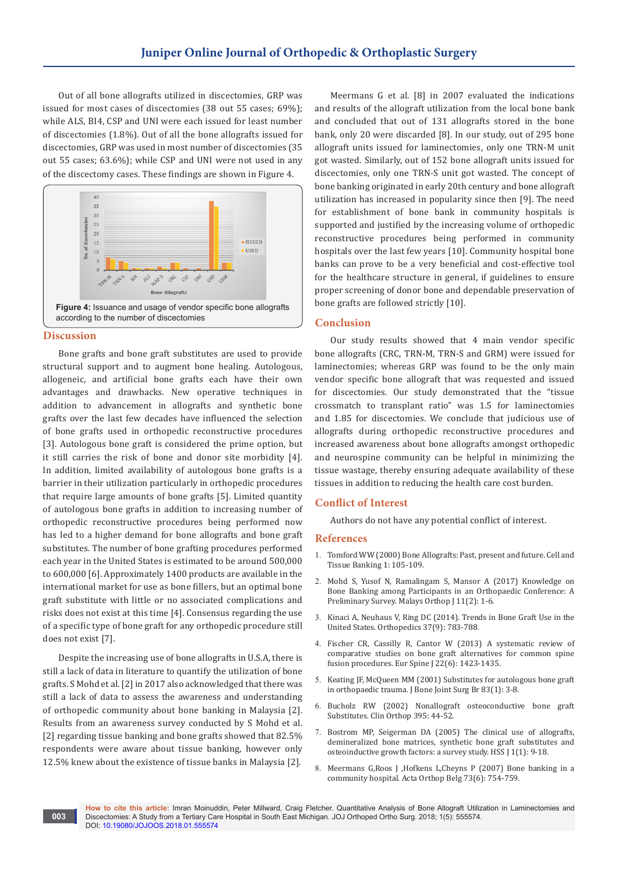Out of all bone allografts utilized in discectomies, GRP was issued for most cases of discectomies (38 out 55 cases; 69%); while ALS, BI4, CSP and UNI were each issued for least number of discectomies (1.8%). Out of all the bone allografts issued for discectomies, GRP was used in most number of discectomies (35 out 55 cases; 63.6%); while CSP and UNI were not used in any of the discectomy cases. These findings are shown in Figure 4.



#### **Discussion**

**003**

Bone grafts and bone graft substitutes are used to provide structural support and to augment bone healing. Autologous, allogeneic, and artificial bone grafts each have their own advantages and drawbacks. New operative techniques in addition to advancement in allografts and synthetic bone grafts over the last few decades have influenced the selection of bone grafts used in orthopedic reconstructive procedures [3]. Autologous bone graft is considered the prime option, but it still carries the risk of bone and donor site morbidity [4]. In addition, limited availability of autologous bone grafts is a barrier in their utilization particularly in orthopedic procedures that require large amounts of bone grafts [5]. Limited quantity of autologous bone grafts in addition to increasing number of orthopedic reconstructive procedures being performed now has led to a higher demand for bone allografts and bone graft substitutes. The number of bone grafting procedures performed each year in the United States is estimated to be around 500,000 to 600,000 [6]. Approximately 1400 products are available in the international market for use as bone fillers, but an optimal bone graft substitute with little or no associated complications and risks does not exist at this time [4]. Consensus regarding the use of a specific type of bone graft for any orthopedic procedure still does not exist [7].

Despite the increasing use of bone allografts in U.S.A, there is still a lack of data in literature to quantify the utilization of bone grafts. S Mohd et al. [2] in 2017 also acknowledged that there was still a lack of data to assess the awareness and understanding of orthopedic community about bone banking in Malaysia [2]. Results from an awareness survey conducted by S Mohd et al. [2] regarding tissue banking and bone grafts showed that 82.5% respondents were aware about tissue banking, however only 12.5% knew about the existence of tissue banks in Malaysia [2].

Meermans G et al. [8] in 2007 evaluated the indications and results of the allograft utilization from the local bone bank and concluded that out of 131 allografts stored in the bone bank, only 20 were discarded [8]. In our study, out of 295 bone allograft units issued for laminectomies, only one TRN-M unit got wasted. Similarly, out of 152 bone allograft units issued for discectomies, only one TRN-S unit got wasted. The concept of bone banking originated in early 20th century and bone allograft utilization has increased in popularity since then [9]. The need for establishment of bone bank in community hospitals is supported and justified by the increasing volume of orthopedic reconstructive procedures being performed in community hospitals over the last few years [10]. Community hospital bone banks can prove to be a very beneficial and cost-effective tool for the healthcare structure in general, if guidelines to ensure proper screening of donor bone and dependable preservation of bone grafts are followed strictly [10].

## **Conclusion**

Our study results showed that 4 main vendor specific bone allografts (CRC, TRN-M, TRN-S and GRM) were issued for laminectomies; whereas GRP was found to be the only main vendor specific bone allograft that was requested and issued for discectomies. Our study demonstrated that the "tissue crossmatch to transplant ratio" was 1.5 for laminectomies and 1.85 for discectomies. We conclude that judicious use of allografts during orthopedic reconstructive procedures and increased awareness about bone allografts amongst orthopedic and neurospine community can be helpful in minimizing the tissue wastage, thereby ensuring adequate availability of these tissues in addition to reducing the health care cost burden.

### **Conflict of Interest**

Authors do not have any potential conflict of interest.

### **References**

- 1. [Tomford WW \(2000\) Bone Allografts: Past, present and future. Cell and](https://link.springer.com/article/10.1023/A:1010158731885)  [Tissue Banking 1: 105-109.](https://link.springer.com/article/10.1023/A:1010158731885)
- 2. Mohd S, Yusof N, [Ramalingam S, Mansor A \(2017\) Knowledge on](https://www.ncbi.nlm.nih.gov/pubmed/29021871)  [Bone Banking among Participants in an Orthopaedic Conference: A](https://www.ncbi.nlm.nih.gov/pubmed/29021871)  [Preliminary Survey. Malays Orthop J 11\(2\): 1-6.](https://www.ncbi.nlm.nih.gov/pubmed/29021871)
- 3. [Kinaci A, Neuhaus V, Ring DC \(2014\). Trends in Bone Graft Use in the](https://www.ncbi.nlm.nih.gov/pubmed/25350620)  [United States. Orthopedics 37\(9\): 783-788.](https://www.ncbi.nlm.nih.gov/pubmed/25350620)
- 4. [Fischer CR, Cassilly R, Cantor W \(2013\) A systematic review of](https://www.ncbi.nlm.nih.gov/pubmed/23440339)  [comparative studies on bone graft alternatives for common spine](https://www.ncbi.nlm.nih.gov/pubmed/23440339)  [fusion procedures. Eur Spine J 22\(6\): 1423-1435.](https://www.ncbi.nlm.nih.gov/pubmed/23440339)
- 5. [Keating JF, McQueen MM \(2001\) Substitutes for autologous bone graft](https://www.ncbi.nlm.nih.gov/pubmed/11245534)  [in orthopaedic trauma. J Bone Joint Surg Br 83\(1\): 3-8.](https://www.ncbi.nlm.nih.gov/pubmed/11245534)
- 6. [Bucholz RW \(2002\) Nonallograft osteoconductive bone graft](https://www.ncbi.nlm.nih.gov/pubmed/11937865)  [Substitutes. Clin Orthop 395: 44-52.](https://www.ncbi.nlm.nih.gov/pubmed/11937865)
- 7. [Bostrom MP, Seigerman DA \(2005\) The clinical use of allografts,](https://www.ncbi.nlm.nih.gov/pmc/articles/PMC2504134/)  [demineralized bone matrices, synthetic bone graft substitutes and](https://www.ncbi.nlm.nih.gov/pmc/articles/PMC2504134/)  [osteoinductive growth factors: a survey study. HSS J 1\(1\): 9-18.](https://www.ncbi.nlm.nih.gov/pmc/articles/PMC2504134/)
- 8. [Meermans G,Roos J ,Hofkens L,Cheyns P \(2007\) Bone](https://www.ncbi.nlm.nih.gov/pubmed/18260489) banking in a [community hospital. Acta Orthop Belg](https://www.ncbi.nlm.nih.gov/pubmed/18260489) 73(6): 754-759.